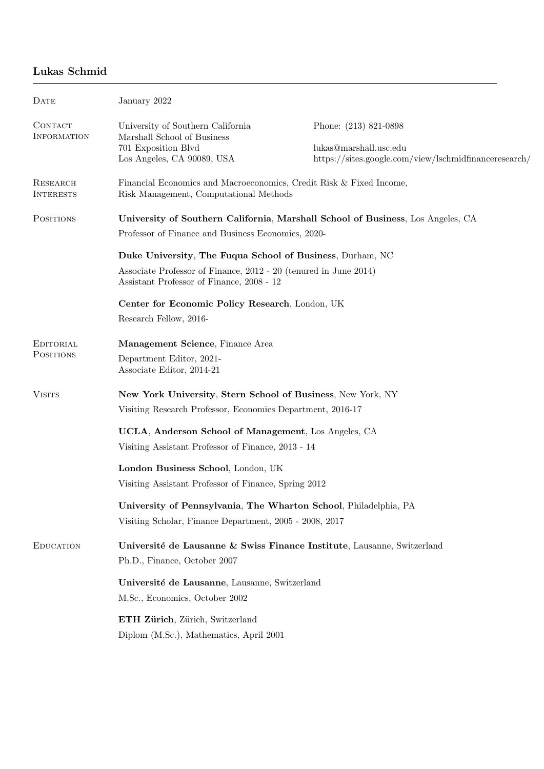# Lukas Schmid

| <b>DATE</b>                   | January 2022                                                                                                                                                               |                                                                                                          |
|-------------------------------|----------------------------------------------------------------------------------------------------------------------------------------------------------------------------|----------------------------------------------------------------------------------------------------------|
| CONTACT<br><b>INFORMATION</b> | University of Southern California<br>Marshall School of Business<br>701 Exposition Blvd<br>Los Angeles, CA 90089, USA                                                      | Phone: (213) 821-0898<br>lukas@marshall.usc.edu<br>https://sites.google.com/view/lschmidfinanceresearch/ |
| RESEARCH<br><b>INTERESTS</b>  | Financial Economics and Macroeconomics, Credit Risk & Fixed Income,<br>Risk Management, Computational Methods                                                              |                                                                                                          |
| <b>POSITIONS</b>              | University of Southern California, Marshall School of Business, Los Angeles, CA<br>Professor of Finance and Business Economics, 2020-                                      |                                                                                                          |
|                               | Duke University, The Fuqua School of Business, Durham, NC<br>Associate Professor of Finance, 2012 - 20 (tenured in June 2014)<br>Assistant Professor of Finance, 2008 - 12 |                                                                                                          |
|                               | Center for Economic Policy Research, London, UK<br>Research Fellow, 2016-                                                                                                  |                                                                                                          |
| EDITORIAL<br><b>POSITIONS</b> | Management Science, Finance Area<br>Department Editor, 2021-<br>Associate Editor, 2014-21                                                                                  |                                                                                                          |
| <b>VISITS</b>                 | New York University, Stern School of Business, New York, NY<br>Visiting Research Professor, Economics Department, 2016-17                                                  |                                                                                                          |
|                               | UCLA, Anderson School of Management, Los Angeles, CA<br>Visiting Assistant Professor of Finance, 2013 - 14                                                                 |                                                                                                          |
|                               | London Business School, London, UK<br>Visiting Assistant Professor of Finance, Spring 2012                                                                                 |                                                                                                          |
|                               | University of Pennsylvania, The Wharton School, Philadelphia, PA<br>Visiting Scholar, Finance Department, 2005 - 2008, 2017                                                |                                                                                                          |
| <b>EDUCATION</b>              | Université de Lausanne & Swiss Finance Institute, Lausanne, Switzerland<br>Ph.D., Finance, October 2007                                                                    |                                                                                                          |
|                               | Université de Lausanne, Lausanne, Switzerland<br>M.Sc., Economics, October 2002                                                                                            |                                                                                                          |
|                               | ETH Zürich, Zürich, Switzerland<br>Diplom (M.Sc.), Mathematics, April 2001                                                                                                 |                                                                                                          |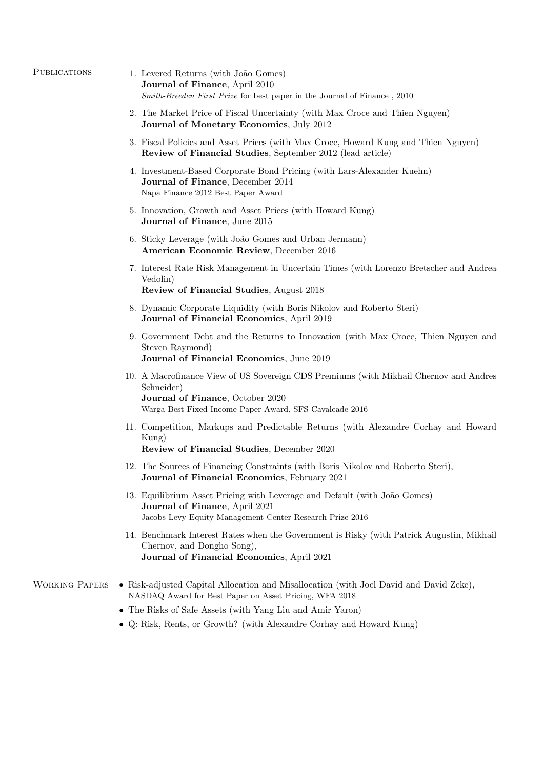| <b>PUBLICATIONS</b> |
|---------------------|
|                     |

- 1. Levered Returns (with João Gomes) Journal of Finance, April 2010 Smith-Breeden First Prize for best paper in the Journal of Finance , 2010
- 2. The Market Price of Fiscal Uncertainty (with Max Croce and Thien Nguyen) Journal of Monetary Economics, July 2012
- 3. Fiscal Policies and Asset Prices (with Max Croce, Howard Kung and Thien Nguyen) Review of Financial Studies, September 2012 (lead article)
- 4. Investment-Based Corporate Bond Pricing (with Lars-Alexander Kuehn) Journal of Finance, December 2014 Napa Finance 2012 Best Paper Award
- 5. Innovation, Growth and Asset Prices (with Howard Kung) Journal of Finance, June 2015
- 6. Sticky Leverage (with João Gomes and Urban Jermann) American Economic Review, December 2016
- 7. Interest Rate Risk Management in Uncertain Times (with Lorenzo Bretscher and Andrea Vedolin) Review of Financial Studies, August 2018
- 
- 8. Dynamic Corporate Liquidity (with Boris Nikolov and Roberto Steri) Journal of Financial Economics, April 2019
- 9. Government Debt and the Returns to Innovation (with Max Croce, Thien Nguyen and Steven Raymond) Journal of Financial Economics, June 2019

```
10. A Macrofinance View of US Sovereign CDS Premiums (with Mikhail Chernov and Andres
Schneider)
Journal of Finance, October 2020
Warga Best Fixed Income Paper Award, SFS Cavalcade 2016
```
- 11. Competition, Markups and Predictable Returns (with Alexandre Corhay and Howard Kung) Review of Financial Studies, December 2020
- 12. The Sources of Financing Constraints (with Boris Nikolov and Roberto Steri), Journal of Financial Economics, February 2021
- 13. Equilibrium Asset Pricing with Leverage and Default (with João Gomes) Journal of Finance, April 2021 Jacobs Levy Equity Management Center Research Prize 2016
- 14. Benchmark Interest Rates when the Government is Risky (with Patrick Augustin, Mikhail Chernov, and Dongho Song), Journal of Financial Economics, April 2021
- WORKING PAPERS Risk-adjusted Capital Allocation and Misallocation (with Joel David and David Zeke), NASDAQ Award for Best Paper on Asset Pricing, WFA 2018
	- The Risks of Safe Assets (with Yang Liu and Amir Yaron)
	- Q: Risk, Rents, or Growth? (with Alexandre Corhay and Howard Kung)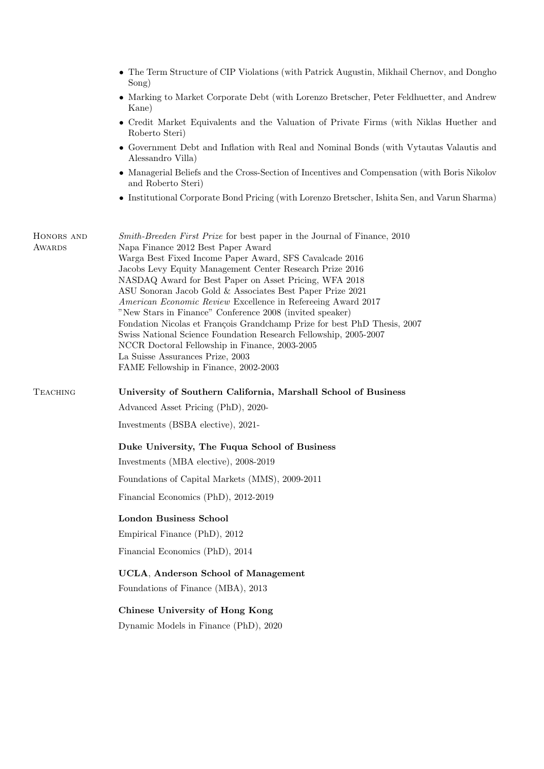|                             | • The Term Structure of CIP Violations (with Patrick Augustin, Mikhail Chernov, and Dongho<br>$\text{Song}$ )                                                                    |  |  |
|-----------------------------|----------------------------------------------------------------------------------------------------------------------------------------------------------------------------------|--|--|
|                             | • Marking to Market Corporate Debt (with Lorenzo Bretscher, Peter Feldhuetter, and Andrew<br>Kane)                                                                               |  |  |
|                             | • Credit Market Equivalents and the Valuation of Private Firms (with Niklas Huether and<br>Roberto Steri)                                                                        |  |  |
|                             | • Government Debt and Inflation with Real and Nominal Bonds (with Vytautas Valautis and<br>Alessandro Villa)                                                                     |  |  |
|                             | • Managerial Beliefs and the Cross-Section of Incentives and Compensation (with Boris Nikolov<br>and Roberto Steri)                                                              |  |  |
|                             | • Institutional Corporate Bond Pricing (with Lorenzo Bretscher, Ishita Sen, and Varun Sharma)                                                                                    |  |  |
| HONORS AND<br><b>AWARDS</b> | <i>Smith-Breeden First Prize</i> for best paper in the Journal of Finance, 2010<br>Napa Finance 2012 Best Paper Award<br>Warga Best Fixed Income Paper Award, SFS Cavalcade 2016 |  |  |
|                             | Jacobs Levy Equity Management Center Research Prize 2016<br>NASDAQ Award for Best Paper on Asset Pricing, WFA 2018                                                               |  |  |
|                             | ASU Sonoran Jacob Gold & Associates Best Paper Prize 2021                                                                                                                        |  |  |
|                             | American Economic Review Excellence in Refereeing Award 2017<br>"New Stars in Finance" Conference 2008 (invited speaker)                                                         |  |  |
|                             | Fondation Nicolas et François Grandchamp Prize for best PhD Thesis, 2007<br>Swiss National Science Foundation Research Fellowship, 2005-2007                                     |  |  |
|                             | NCCR Doctoral Fellowship in Finance, 2003-2005                                                                                                                                   |  |  |
|                             | La Suisse Assurances Prize, 2003<br>FAME Fellowship in Finance, 2002-2003                                                                                                        |  |  |
| TEACHING                    | University of Southern California, Marshall School of Business                                                                                                                   |  |  |
|                             | Advanced Asset Pricing (PhD), 2020-                                                                                                                                              |  |  |
|                             | Investments (BSBA elective), 2021-                                                                                                                                               |  |  |
|                             | Duke University, The Fuqua School of Business                                                                                                                                    |  |  |
|                             | Investments (MBA elective), 2008-2019                                                                                                                                            |  |  |
|                             | Foundations of Capital Markets (MMS), 2009-2011                                                                                                                                  |  |  |
|                             | Financial Economics (PhD), 2012-2019                                                                                                                                             |  |  |
|                             | <b>London Business School</b>                                                                                                                                                    |  |  |
|                             | Empirical Finance (PhD), 2012                                                                                                                                                    |  |  |
|                             | Financial Economics (PhD), 2014                                                                                                                                                  |  |  |
|                             | UCLA, Anderson School of Management                                                                                                                                              |  |  |
|                             | Foundations of Finance (MBA), 2013                                                                                                                                               |  |  |
|                             | Chinese University of Hong Kong                                                                                                                                                  |  |  |
|                             | Dynamic Models in Finance (PhD), 2020                                                                                                                                            |  |  |
|                             |                                                                                                                                                                                  |  |  |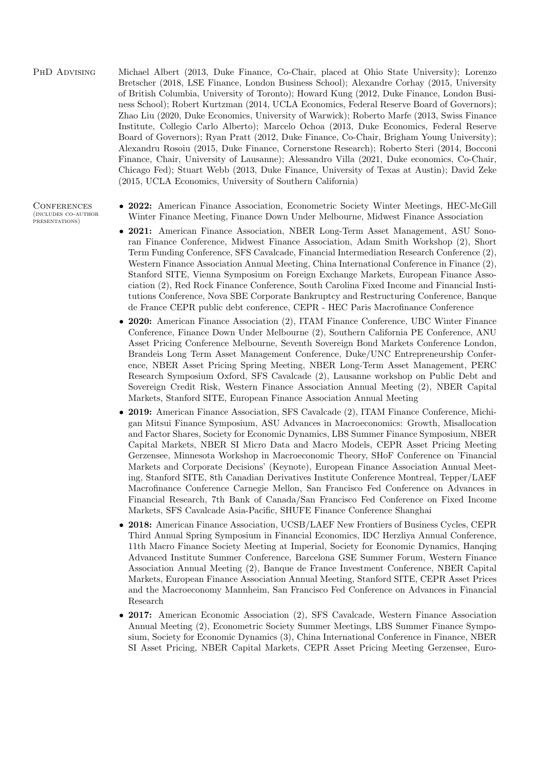## PhD Advising Michael Albert (2013, Duke Finance, Co-Chair, placed at Ohio State University); Lorenzo Bretscher (2018, LSE Finance, London Business School); Alexandre Corhay (2015, University of British Columbia, University of Toronto); Howard Kung (2012, Duke Finance, London Business School); Robert Kurtzman (2014, UCLA Economics, Federal Reserve Board of Governors); Zhao Liu (2020, Duke Economics, University of Warwick); Roberto Marfe (2013, Swiss Finance Institute, Collegio Carlo Alberto); Marcelo Ochoa (2013, Duke Economics, Federal Reserve Board of Governors); Ryan Pratt (2012, Duke Finance, Co-Chair, Brigham Young University); Alexandru Rosoiu (2015, Duke Finance, Cornerstone Research); Roberto Steri (2014, Bocconi Finance, Chair, University of Lausanne); Alessandro Villa (2021, Duke economics, Co-Chair, Chicago Fed); Stuart Webb (2013, Duke Finance, University of Texas at Austin); David Zeke (2015, UCLA Economics, University of Southern California)

#### **CONFERENCES** (includes co-author presentations)

- 2022: American Finance Association, Econometric Society Winter Meetings, HEC-McGill Winter Finance Meeting, Finance Down Under Melbourne, Midwest Finance Association
- 2021: American Finance Association, NBER Long-Term Asset Management, ASU Sonoran Finance Conference, Midwest Finance Association, Adam Smith Workshop (2), Short Term Funding Conference, SFS Cavalcade, Financial Intermediation Research Conference (2), Western Finance Association Annual Meeting, China International Conference in Finance (2), Stanford SITE, Vienna Symposium on Foreign Exchange Markets, European Finance Association (2), Red Rock Finance Conference, South Carolina Fixed Income and Financial Institutions Conference, Nova SBE Corporate Bankruptcy and Restructuring Conference, Banque de France CEPR public debt conference, CEPR - HEC Paris Macrofinance Conference
- 2020: American Finance Association (2), ITAM Finance Conference, UBC Winter Finance Conference, Finance Down Under Melbourne (2), Southern California PE Conference, ANU Asset Pricing Conference Melbourne, Seventh Sovereign Bond Markets Conference London, Brandeis Long Term Asset Management Conference, Duke/UNC Entrepreneurship Conference, NBER Asset Pricing Spring Meeting, NBER Long-Term Asset Management, PERC Research Symposium Oxford, SFS Cavalcade (2), Lausanne workshop on Public Debt and Sovereign Credit Risk, Western Finance Association Annual Meeting (2), NBER Capital Markets, Stanford SITE, European Finance Association Annual Meeting
- 2019: American Finance Association, SFS Cavalcade (2), ITAM Finance Conference, Michigan Mitsui Finance Symposium, ASU Advances in Macroeconomics: Growth, Misallocation and Factor Shares, Society for Economic Dynamics, LBS Summer Finance Symposium, NBER Capital Markets, NBER SI Micro Data and Macro Models, CEPR Asset Pricing Meeting Gerzensee, Minnesota Workshop in Macroeconomic Theory, SHoF Conference on 'Financial Markets and Corporate Decisions' (Keynote), European Finance Association Annual Meeting, Stanford SITE, 8th Canadian Derivatives Institute Conference Montreal, Tepper/LAEF Macrofinance Conference Carnegie Mellon, San Francisco Fed Conference on Advances in Financial Research, 7th Bank of Canada/San Francisco Fed Conference on Fixed Income Markets, SFS Cavalcade Asia-Pacific, SHUFE Finance Conference Shanghai
- 2018: American Finance Association, UCSB/LAEF New Frontiers of Business Cycles, CEPR Third Annual Spring Symposium in Financial Economics, IDC Herzliya Annual Conference, 11th Macro Finance Society Meeting at Imperial, Society for Economic Dynamics, Hanqing Advanced Institute Summer Conference, Barcelona GSE Summer Forum, Western Finance Association Annual Meeting (2), Banque de France Investment Conference, NBER Capital Markets, European Finance Association Annual Meeting, Stanford SITE, CEPR Asset Prices and the Macroeconomy Mannheim, San Francisco Fed Conference on Advances in Financial Research
- 2017: American Economic Association (2), SFS Cavalcade, Western Finance Association Annual Meeting (2), Econometric Society Summer Meetings, LBS Summer Finance Symposium, Society for Economic Dynamics (3), China International Conference in Finance, NBER SI Asset Pricing, NBER Capital Markets, CEPR Asset Pricing Meeting Gerzensee, Euro-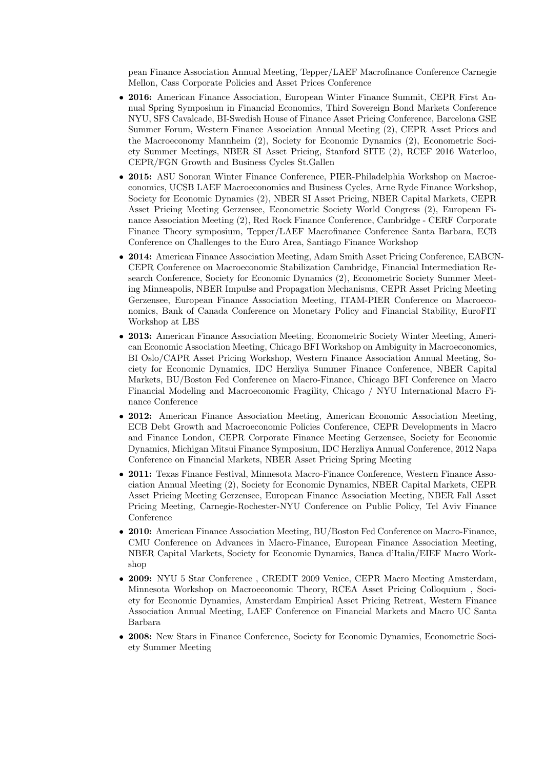pean Finance Association Annual Meeting, Tepper/LAEF Macrofinance Conference Carnegie Mellon, Cass Corporate Policies and Asset Prices Conference

- 2016: American Finance Association, European Winter Finance Summit, CEPR First Annual Spring Symposium in Financial Economics, Third Sovereign Bond Markets Conference NYU, SFS Cavalcade, BI-Swedish House of Finance Asset Pricing Conference, Barcelona GSE Summer Forum, Western Finance Association Annual Meeting (2), CEPR Asset Prices and the Macroeconomy Mannheim (2), Society for Economic Dynamics (2), Econometric Society Summer Meetings, NBER SI Asset Pricing, Stanford SITE (2), RCEF 2016 Waterloo, CEPR/FGN Growth and Business Cycles St.Gallen
- 2015: ASU Sonoran Winter Finance Conference, PIER-Philadelphia Workshop on Macroeconomics, UCSB LAEF Macroeconomics and Business Cycles, Arne Ryde Finance Workshop, Society for Economic Dynamics (2), NBER SI Asset Pricing, NBER Capital Markets, CEPR Asset Pricing Meeting Gerzensee, Econometric Society World Congress (2), European Finance Association Meeting (2), Red Rock Finance Conference, Cambridge - CERF Corporate Finance Theory symposium, Tepper/LAEF Macrofinance Conference Santa Barbara, ECB Conference on Challenges to the Euro Area, Santiago Finance Workshop
- 2014: American Finance Association Meeting, Adam Smith Asset Pricing Conference, EABCN-CEPR Conference on Macroeconomic Stabilization Cambridge, Financial Intermediation Research Conference, Society for Economic Dynamics (2), Econometric Society Summer Meeting Minneapolis, NBER Impulse and Propagation Mechanisms, CEPR Asset Pricing Meeting Gerzensee, European Finance Association Meeting, ITAM-PIER Conference on Macroeconomics, Bank of Canada Conference on Monetary Policy and Financial Stability, EuroFIT Workshop at LBS
- 2013: American Finance Association Meeting, Econometric Society Winter Meeting, American Economic Association Meeting, Chicago BFI Workshop on Ambiguity in Macroeconomics, BI Oslo/CAPR Asset Pricing Workshop, Western Finance Association Annual Meeting, Society for Economic Dynamics, IDC Herzliya Summer Finance Conference, NBER Capital Markets, BU/Boston Fed Conference on Macro-Finance, Chicago BFI Conference on Macro Financial Modeling and Macroeconomic Fragility, Chicago / NYU International Macro Finance Conference
- 2012: American Finance Association Meeting, American Economic Association Meeting, ECB Debt Growth and Macroeconomic Policies Conference, CEPR Developments in Macro and Finance London, CEPR Corporate Finance Meeting Gerzensee, Society for Economic Dynamics, Michigan Mitsui Finance Symposium, IDC Herzliya Annual Conference, 2012 Napa Conference on Financial Markets, NBER Asset Pricing Spring Meeting
- 2011: Texas Finance Festival, Minnesota Macro-Finance Conference, Western Finance Association Annual Meeting (2), Society for Economic Dynamics, NBER Capital Markets, CEPR Asset Pricing Meeting Gerzensee, European Finance Association Meeting, NBER Fall Asset Pricing Meeting, Carnegie-Rochester-NYU Conference on Public Policy, Tel Aviv Finance Conference
- 2010: American Finance Association Meeting, BU/Boston Fed Conference on Macro-Finance, CMU Conference on Advances in Macro-Finance, European Finance Association Meeting, NBER Capital Markets, Society for Economic Dynamics, Banca d'Italia/EIEF Macro Workshop
- 2009: NYU 5 Star Conference , CREDIT 2009 Venice, CEPR Macro Meeting Amsterdam, Minnesota Workshop on Macroeconomic Theory, RCEA Asset Pricing Colloquium , Society for Economic Dynamics, Amsterdam Empirical Asset Pricing Retreat, Western Finance Association Annual Meeting, LAEF Conference on Financial Markets and Macro UC Santa Barbara
- 2008: New Stars in Finance Conference, Society for Economic Dynamics, Econometric Society Summer Meeting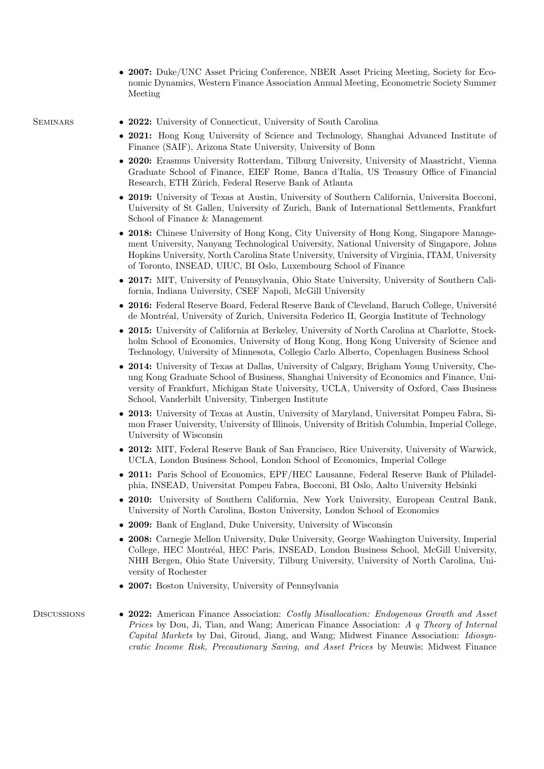• 2007: Duke/UNC Asset Pricing Conference, NBER Asset Pricing Meeting, Society for Economic Dynamics, Western Finance Association Annual Meeting, Econometric Society Summer Meeting

- SEMINARS 2022: University of Connecticut, University of South Carolina
	- 2021: Hong Kong University of Science and Technology, Shanghai Advanced Institute of Finance (SAIF), Arizona State University, University of Bonn
	- 2020: Erasmus University Rotterdam, Tilburg University, University of Maastricht, Vienna Graduate School of Finance, EIEF Rome, Banca d'Italia, US Treasury Office of Financial Research, ETH Zürich, Federal Reserve Bank of Atlanta
	- 2019: University of Texas at Austin, University of Southern California, Universita Bocconi, University of St Gallen, University of Zurich, Bank of International Settlements, Frankfurt School of Finance & Management
	- 2018: Chinese University of Hong Kong, City University of Hong Kong, Singapore Management University, Nanyang Technological University, National University of Singapore, Johns Hopkins University, North Carolina State University, University of Virginia, ITAM, University of Toronto, INSEAD, UIUC, BI Oslo, Luxembourg School of Finance
	- 2017: MIT, University of Pennsylvania, Ohio State University, University of Southern California, Indiana University, CSEF Napoli, McGill University
	- 2016: Federal Reserve Board, Federal Reserve Bank of Cleveland, Baruch College, Université de Montréal, University of Zurich, Universita Federico II, Georgia Institute of Technology
	- 2015: University of California at Berkeley, University of North Carolina at Charlotte, Stockholm School of Economics, University of Hong Kong, Hong Kong University of Science and Technology, University of Minnesota, Collegio Carlo Alberto, Copenhagen Business School
	- 2014: University of Texas at Dallas, University of Calgary, Brigham Young University, Cheung Kong Graduate School of Business, Shanghai University of Economics and Finance, University of Frankfurt, Michigan State University, UCLA, University of Oxford, Cass Business School, Vanderbilt University, Tinbergen Institute
	- 2013: University of Texas at Austin, University of Maryland, Universitat Pompeu Fabra, Simon Fraser University, University of Illinois, University of British Columbia, Imperial College, University of Wisconsin
	- 2012: MIT, Federal Reserve Bank of San Francisco, Rice University, University of Warwick, UCLA, London Business School, London School of Economics, Imperial College
	- 2011: Paris School of Economics, EPF/HEC Lausanne, Federal Reserve Bank of Philadelphia, INSEAD, Universitat Pompeu Fabra, Bocconi, BI Oslo, Aalto University Helsinki
	- 2010: University of Southern California, New York University, European Central Bank, University of North Carolina, Boston University, London School of Economics
	- 2009: Bank of England, Duke University, University of Wisconsin
	- 2008: Carnegie Mellon University, Duke University, George Washington University, Imperial College, HEC Montréal, HEC Paris, INSEAD, London Business School, McGill University, NHH Bergen, Ohio State University, Tilburg University, University of North Carolina, University of Rochester
	- 2007: Boston University, University of Pennsylvania

DISCUSSIONS • 2022: American Finance Association: Costly Misallocation: Endogenous Growth and Asset Prices by Dou, Ji, Tian, and Wang; American Finance Association: A q Theory of Internal Capital Markets by Dai, Giroud, Jiang, and Wang; Midwest Finance Association: Idiosyncratic Income Risk, Precautionary Saving, and Asset Prices by Meuwis; Midwest Finance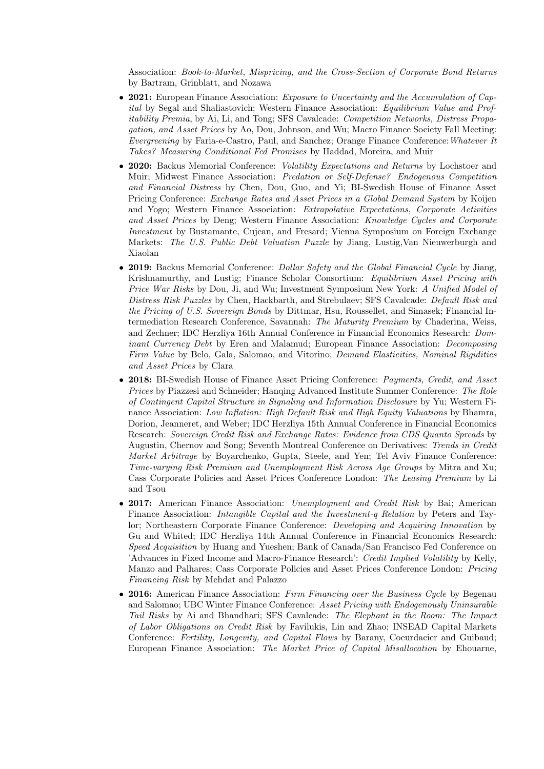Association: Book-to-Market, Mispricing, and the Cross-Section of Corporate Bond Returns by Bartram, Grinblatt, and Nozawa

- 2021: European Finance Association: *Exposure to Uncertainty and the Accumulation of Cap*ital by Segal and Shaliastovich; Western Finance Association: Equilibrium Value and Profitability Premia, by Ai, Li, and Tong; SFS Cavalcade: Competition Networks, Distress Propagation, and Asset Prices by Ao, Dou, Johnson, and Wu; Macro Finance Society Fall Meeting: Evergreening by Faria-e-Castro, Paul, and Sanchez; Orange Finance Conference:Whatever It Takes? Measuring Conditional Fed Promises by Haddad, Moreira, and Muir
- 2020: Backus Memorial Conference: *Volatility Expectations and Returns* by Lochstoer and Muir; Midwest Finance Association: Predation or Self-Defense? Endogenous Competition and Financial Distress by Chen, Dou, Guo, and Yi; BI-Swedish House of Finance Asset Pricing Conference: Exchange Rates and Asset Prices in a Global Demand System by Koijen and Yogo; Western Finance Association: Extrapolative Expectations, Corporate Activities and Asset Prices by Deng; Western Finance Association: Knowledge Cycles and Corporate Investment by Bustamante, Cujean, and Fresard; Vienna Symposium on Foreign Exchange Markets: The U.S. Public Debt Valuation Puzzle by Jiang, Lustig,Van Nieuwerburgh and Xiaolan
- 2019: Backus Memorial Conference: *Dollar Safety and the Global Financial Cycle* by Jiang, Krishnamurthy, and Lustig; Finance Scholar Consortium: Equilibrium Asset Pricing with Price War Risks by Dou, Ji, and Wu; Investment Symposium New York: A Unified Model of Distress Risk Puzzles by Chen, Hackbarth, and Strebulaev; SFS Cavalcade: Default Risk and the Pricing of U.S. Sovereign Bonds by Dittmar, Hsu, Roussellet, and Simasek; Financial Intermediation Research Conference, Savannah: The Maturity Premium by Chaderina, Weiss, and Zechner; IDC Herzliya 16th Annual Conference in Financial Economics Research: Dominant Currency Debt by Eren and Malamud; European Finance Association: Decomposing Firm Value by Belo, Gala, Salomao, and Vitorino; Demand Elasticities, Nominal Rigidities and Asset Prices by Clara
- 2018: BI-Swedish House of Finance Asset Pricing Conference: Payments, Credit, and Asset Prices by Piazzesi and Schneider; Hanqing Advanced Institute Summer Conference: The Role of Contingent Capital Structure in Signaling and Information Disclosure by Yu; Western Finance Association: Low Inflation: High Default Risk and High Equity Valuations by Bhamra, Dorion, Jeanneret, and Weber; IDC Herzliya 15th Annual Conference in Financial Economics Research: Sovereign Credit Risk and Exchange Rates: Evidence from CDS Quanto Spreads by Augustin, Chernov and Song; Seventh Montreal Conference on Derivatives: Trends in Credit Market Arbitrage by Boyarchenko, Gupta, Steele, and Yen; Tel Aviv Finance Conference: Time-varying Risk Premium and Unemployment Risk Across Age Groups by Mitra and Xu; Cass Corporate Policies and Asset Prices Conference London: The Leasing Premium by Li and Tsou
- 2017: American Finance Association: Unemployment and Credit Risk by Bai; American Finance Association: Intangible Capital and the Investment-q Relation by Peters and Taylor; Northeastern Corporate Finance Conference: Developing and Acquiring Innovation by Gu and Whited; IDC Herzliya 14th Annual Conference in Financial Economics Research: Speed Acquisition by Huang and Yueshen; Bank of Canada/San Francisco Fed Conference on 'Advances in Fixed Income and Macro-Finance Research': Credit Implied Volatility by Kelly, Manzo and Palhares; Cass Corporate Policies and Asset Prices Conference London: Pricing Financing Risk by Mehdat and Palazzo
- 2016: American Finance Association: Firm Financing over the Business Cycle by Begenau and Salomao; UBC Winter Finance Conference: Asset Pricing with Endogenously Uninsurable Tail Risks by Ai and Bhandhari; SFS Cavalcade: The Elephant in the Room: The Impact of Labor Obligations on Credit Risk by Favilukis, Lin and Zhao; INSEAD Capital Markets Conference: Fertility, Longevity, and Capital Flows by Barany, Coeurdacier and Guibaud; European Finance Association: The Market Price of Capital Misallocation by Ehouarne,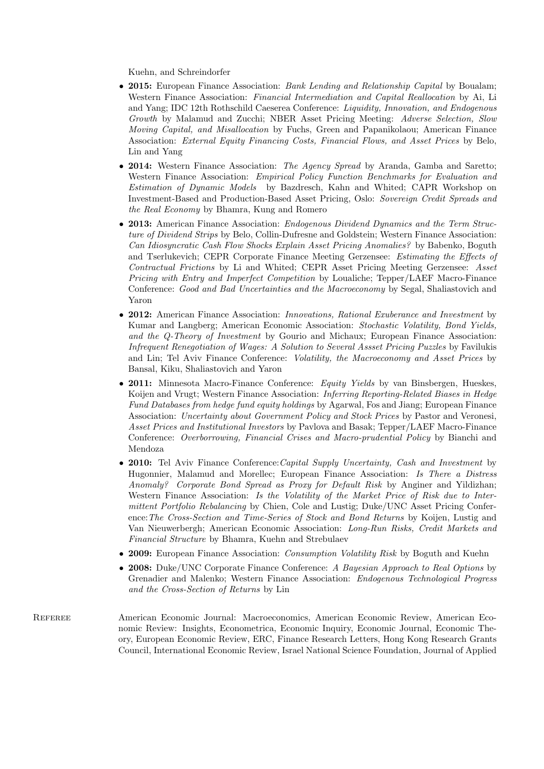Kuehn, and Schreindorfer

- 2015: European Finance Association: *Bank Lending and Relationship Capital* by Boualam; Western Finance Association: Financial Intermediation and Capital Reallocation by Ai, Li and Yang; IDC 12th Rothschild Caeserea Conference: Liquidity, Innovation, and Endogenous Growth by Malamud and Zucchi; NBER Asset Pricing Meeting: Adverse Selection, Slow Moving Capital, and Misallocation by Fuchs, Green and Papanikolaou; American Finance Association: External Equity Financing Costs, Financial Flows, and Asset Prices by Belo, Lin and Yang
- 2014: Western Finance Association: The Agency Spread by Aranda, Gamba and Saretto; Western Finance Association: Empirical Policy Function Benchmarks for Evaluation and Estimation of Dynamic Models by Bazdresch, Kahn and Whited; CAPR Workshop on Investment-Based and Production-Based Asset Pricing, Oslo: Sovereign Credit Spreads and the Real Economy by Bhamra, Kung and Romero
- 2013: American Finance Association: *Endogenous Dividend Dynamics and the Term Struc*ture of Dividend Strips by Belo, Collin-Dufresne and Goldstein; Western Finance Association: Can Idiosyncratic Cash Flow Shocks Explain Asset Pricing Anomalies? by Babenko, Boguth and Tserlukevich; CEPR Corporate Finance Meeting Gerzensee: Estimating the Effects of Contractual Frictions by Li and Whited; CEPR Asset Pricing Meeting Gerzensee: Asset Pricing with Entry and Imperfect Competition by Loualiche; Tepper/LAEF Macro-Finance Conference: Good and Bad Uncertainties and the Macroeconomy by Segal, Shaliastovich and Yaron
- 2012: American Finance Association: Innovations, Rational Exuberance and Investment by Kumar and Langberg; American Economic Association: Stochastic Volatility, Bond Yields, and the Q-Theory of Investment by Gourio and Michaux; European Finance Association: Infrequent Renegotiation of Wages: A Solution to Several Assset Pricing Puzzles by Favilukis and Lin; Tel Aviv Finance Conference: Volatility, the Macroeconomy and Asset Prices by Bansal, Kiku, Shaliastovich and Yaron
- 2011: Minnesota Macro-Finance Conference: Equity Yields by van Binsbergen, Hueskes, Koijen and Vrugt; Western Finance Association: Inferring Reporting-Related Biases in Hedge Fund Databases from hedge fund equity holdings by Agarwal, Fos and Jiang; European Finance Association: Uncertainty about Government Policy and Stock Prices by Pastor and Veronesi, Asset Prices and Institutional Investors by Pavlova and Basak; Tepper/LAEF Macro-Finance Conference: Overborrowing, Financial Crises and Macro-prudential Policy by Bianchi and Mendoza
- 2010: Tel Aviv Finance Conference: Capital Supply Uncertainty, Cash and Investment by Hugonnier, Malamud and Morellec; European Finance Association: Is There a Distress Anomaly? Corporate Bond Spread as Proxy for Default Risk by Anginer and Yildizhan; Western Finance Association: Is the Volatility of the Market Price of Risk due to Intermittent Portfolio Rebalancing by Chien, Cole and Lustig; Duke/UNC Asset Pricing Conference:The Cross-Section and Time-Series of Stock and Bond Returns by Koijen, Lustig and Van Nieuwerbergh; American Economic Association: Long-Run Risks, Credit Markets and Financial Structure by Bhamra, Kuehn and Strebulaev
- 2009: European Finance Association: *Consumption Volatility Risk* by Boguth and Kuehn
- 2008: Duke/UNC Corporate Finance Conference: A Bayesian Approach to Real Options by Grenadier and Malenko; Western Finance Association: Endogenous Technological Progress and the Cross-Section of Returns by Lin
- Referee American Economic Journal: Macroeconomics, American Economic Review, American Economic Review: Insights, Econometrica, Economic Inquiry, Economic Journal, Economic Theory, European Economic Review, ERC, Finance Research Letters, Hong Kong Research Grants Council, International Economic Review, Israel National Science Foundation, Journal of Applied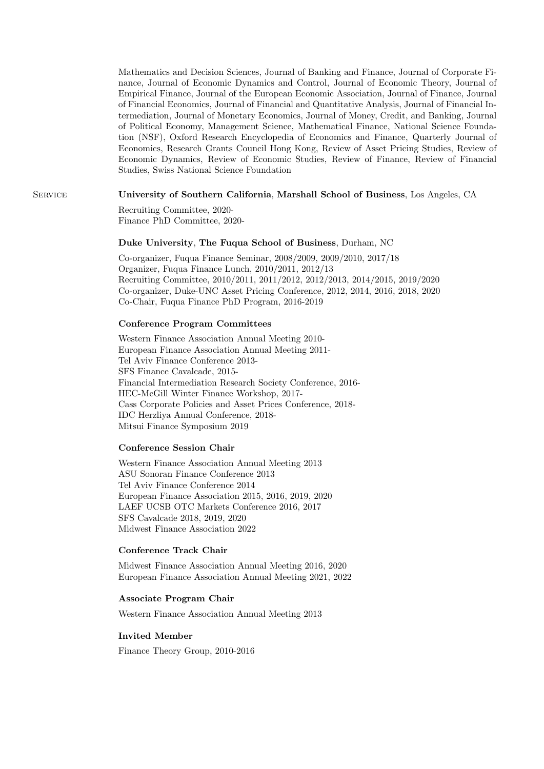Mathematics and Decision Sciences, Journal of Banking and Finance, Journal of Corporate Finance, Journal of Economic Dynamics and Control, Journal of Economic Theory, Journal of Empirical Finance, Journal of the European Economic Association, Journal of Finance, Journal of Financial Economics, Journal of Financial and Quantitative Analysis, Journal of Financial Intermediation, Journal of Monetary Economics, Journal of Money, Credit, and Banking, Journal of Political Economy, Management Science, Mathematical Finance, National Science Foundation (NSF), Oxford Research Encyclopedia of Economics and Finance, Quarterly Journal of Economics, Research Grants Council Hong Kong, Review of Asset Pricing Studies, Review of Economic Dynamics, Review of Economic Studies, Review of Finance, Review of Financial Studies, Swiss National Science Foundation

### Service University of Southern California, Marshall School of Business, Los Angeles, CA

Recruiting Committee, 2020- Finance PhD Committee, 2020-

#### Duke University, The Fuqua School of Business, Durham, NC

Co-organizer, Fuqua Finance Seminar, 2008/2009, 2009/2010, 2017/18 Organizer, Fuqua Finance Lunch, 2010/2011, 2012/13 Recruiting Committee, 2010/2011, 2011/2012, 2012/2013, 2014/2015, 2019/2020 Co-organizer, Duke-UNC Asset Pricing Conference, 2012, 2014, 2016, 2018, 2020 Co-Chair, Fuqua Finance PhD Program, 2016-2019

#### Conference Program Committees

Western Finance Association Annual Meeting 2010- European Finance Association Annual Meeting 2011- Tel Aviv Finance Conference 2013- SFS Finance Cavalcade, 2015- Financial Intermediation Research Society Conference, 2016- HEC-McGill Winter Finance Workshop, 2017- Cass Corporate Policies and Asset Prices Conference, 2018- IDC Herzliya Annual Conference, 2018- Mitsui Finance Symposium 2019

#### Conference Session Chair

Western Finance Association Annual Meeting 2013 ASU Sonoran Finance Conference 2013 Tel Aviv Finance Conference 2014 European Finance Association 2015, 2016, 2019, 2020 LAEF UCSB OTC Markets Conference 2016, 2017 SFS Cavalcade 2018, 2019, 2020 Midwest Finance Association 2022

#### Conference Track Chair

Midwest Finance Association Annual Meeting 2016, 2020 European Finance Association Annual Meeting 2021, 2022

#### Associate Program Chair

Western Finance Association Annual Meeting 2013

#### Invited Member

Finance Theory Group, 2010-2016